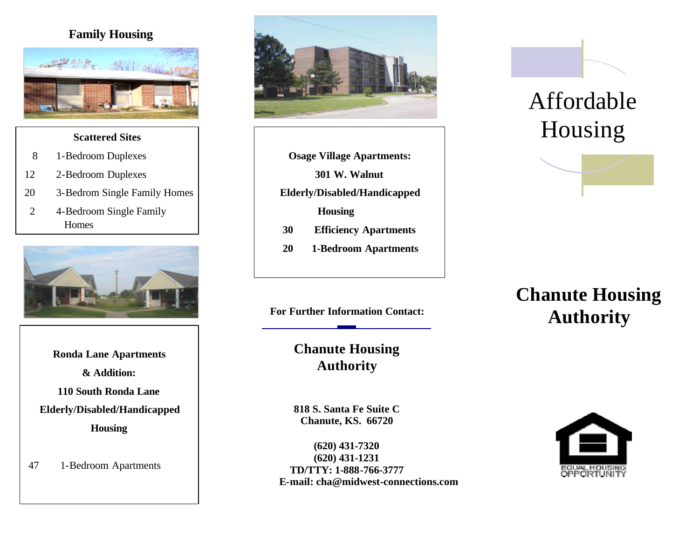### **Family Housing**



#### **Scattered Sites**

- 8 1-Bedroom Duplexes
- 12 2-Bedroom Duplexes
- 20 3-Bedrom Single Family Homes
- 2 4-Bedroom Single Family Homes



**Ronda Lane Apartments & Addition: 110 South Ronda Lane Elderly/Disabled/Handicapped Housing**

47 1-Bedroom Apartments



**Osage Village Apartments:**

**301 W. Walnut**

- **Elderly/Disabled/Handicapped**
	- **Housing**
- **30 Efficiency Apartments**
- **20 1-Bedroom Apartments**

**Chanute Housing Authority**

**818 S. Santa Fe Suite C Chanute, KS. 66720**

**(620) 431-7320 (620) 431-1231 TD/TTY: 1-888-766-3777 E-mail: [cha@midwest-connections.com](mailto:cha@midwest-connections.com)**

# Affordable Housing

## **Chanute Housing**  For Further Information Contact: **Authority**